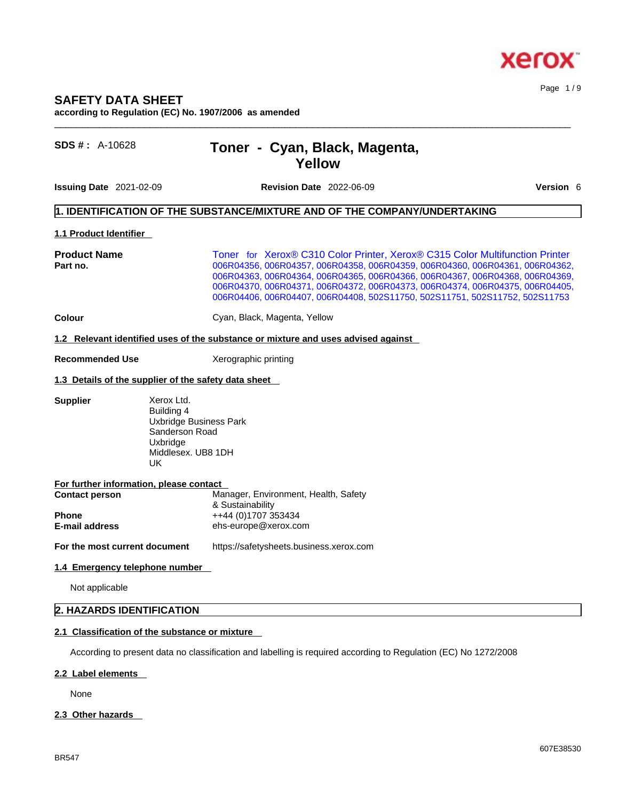

# **SAFETY DATA SHEET**

**according to Regulation (EC) No. 1907/2006 as amended**  $\_$  ,  $\_$  ,  $\_$  ,  $\_$  ,  $\_$  ,  $\_$  ,  $\_$  ,  $\_$  ,  $\_$  ,  $\_$  ,  $\_$  ,  $\_$  ,  $\_$  ,  $\_$  ,  $\_$  ,  $\_$  ,  $\_$  ,  $\_$  ,  $\_$  ,  $\_$  ,  $\_$  ,  $\_$  ,  $\_$  ,  $\_$  ,  $\_$  ,  $\_$  ,  $\_$  ,  $\_$  ,  $\_$  ,  $\_$  ,  $\_$  ,  $\_$  ,  $\_$  ,  $\_$  ,  $\_$  ,  $\_$  ,  $\_$  ,

# **SDS # :** A-10628 **Toner - Cyan, Black, Magenta, Yellow**

**Issuing Date** 2021-02-09 **Revision Date** 2022-06-09 **Version** 6

Page 1 / 9

# **1. IDENTIFICATION OF THE SUBSTANCE/MIXTURE AND OF THE COMPANY/UNDERTAKING**

# **1.1 Product Identifier**

**Product Name Toner for Xerox® C310 Color Printer, Xerox® C315 Color Multifunction Printer**<br> **Part no.** 006R04362 006R04356, 006R04357, 006R04358, 006R04359, 006R04360, 006R04361, 006R04362 **Part no.** 006R04356, 006R04357, 006R04358, 006R04359, 006R04360, 006R04361, 006R04362, 006R04363, 006R04364, 006R04365, 006R04366, 006R04367, 006R04368, 006R04369, 006R04370, 006R04371, 006R04372, 006R04373, 006R04374, 006R04375, 006R04405, 006R04406, 006R04407, 006R04408, 502S11750, 502S11751, 502S11752, 502S11753

**Colour Colour Cyan, Black, Magenta, Yellow** 

## **1.2 Relevant identified uses of the substance or mixture and uses advised against**

**Recommended Use** Xerographic printing

# **1.3 Details of the supplier of the safety data sheet**

### **Supplier** Xerox Ltd.

Building 4 Uxbridge Business Park Sanderson Road **Uxbridge** Middlesex. UB8 1DH<br>UK UK

| For further information, please contact |
|-----------------------------------------|
| Manager, Environment, Health, Safety    |
| & Sustainability                        |
| ++44 (0)1707 353434                     |
| ehs-europe@xerox.com                    |
|                                         |

**For the most current document** https://safetysheets.business.xerox.com

# **1.4 Emergency telephone number**

Not applicable

# **2. HAZARDS IDENTIFICATION**

# **2.1 Classification of the substance or mixture**

According to present data no classification and labelling is required according to Regulation (EC) No 1272/2008

## **2.2 Label elements**

None

## **2.3 Other hazards**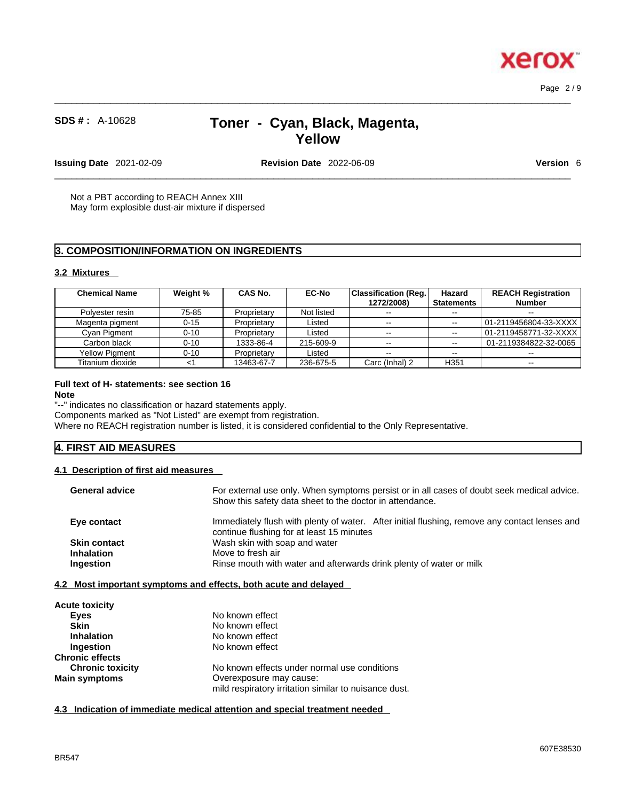Page 2 / 9

**Xerox** 

# **SDS # :** A-10628 **Toner - Cyan, Black, Magenta, Yellow**

 $\_$  ,  $\_$  ,  $\_$  ,  $\_$  ,  $\_$  ,  $\_$  ,  $\_$  ,  $\_$  ,  $\_$  ,  $\_$  ,  $\_$  ,  $\_$  ,  $\_$  ,  $\_$  ,  $\_$  ,  $\_$  ,  $\_$  ,  $\_$  ,  $\_$  ,  $\_$  ,  $\_$  ,  $\_$  ,  $\_$  ,  $\_$  ,  $\_$  ,  $\_$  ,  $\_$  ,  $\_$  ,  $\_$  ,  $\_$  ,  $\_$  ,  $\_$  ,  $\_$  ,  $\_$  ,  $\_$  ,  $\_$  ,  $\_$  ,

**Issuing Date** 2021-02-09 **Revision Date** 2022-06-09 **Version** 6

 $\_$  ,  $\_$  ,  $\_$  ,  $\_$  ,  $\_$  ,  $\_$  ,  $\_$  ,  $\_$  ,  $\_$  ,  $\_$  ,  $\_$  ,  $\_$  ,  $\_$  ,  $\_$  ,  $\_$  ,  $\_$  ,  $\_$  ,  $\_$  ,  $\_$  ,  $\_$  ,  $\_$  ,  $\_$  ,  $\_$  ,  $\_$  ,  $\_$  ,  $\_$  ,  $\_$  ,  $\_$  ,  $\_$  ,  $\_$  ,  $\_$  ,  $\_$  ,  $\_$  ,  $\_$  ,  $\_$  ,  $\_$  ,  $\_$  ,

Not a PBT according to REACH Annex XIII May form explosible dust-air mixture if dispersed

# **3. COMPOSITION/INFORMATION ON INGREDIENTS**

# **3.2 Mixtures**

| <b>Chemical Name</b>  | Weight % | <b>CAS No.</b> | <b>EC-No</b> | <b>Classification (Reg.</b><br>1272/2008) | Hazard<br><b>Statements</b> | <b>REACH Registration</b><br><b>Number</b> |
|-----------------------|----------|----------------|--------------|-------------------------------------------|-----------------------------|--------------------------------------------|
| Polyester resin       | 75-85    | Proprietary    | Not listed   | $- -$                                     | $\sim$ $\sim$               | $\sim$ $\sim$                              |
| Magenta pigment       | $0 - 15$ | Proprietary    | Listed       | $- -$                                     | $- -$                       | 01-2119456804-33-XXXX l                    |
| Cyan Pigment          | $0 - 10$ | Proprietary    | Listed       | --                                        | $\sim$                      |                                            |
| Carbon black          | $0 - 10$ | 1333-86-4      | 215-609-9    | $\sim$ $-$                                | $\overline{\phantom{a}}$    | 01-2119384822-32-0065                      |
| <b>Yellow Pigment</b> | $0 - 10$ | Proprietary    | Listed       | $- -$                                     | $-1$                        | $- -$                                      |
| Titanium dioxide      | <1       | 13463-67-7     | 236-675-5    | Carc (Inhal) 2                            | H <sub>351</sub>            | $\sim$                                     |

# **Full text of H- statements: see section 16**

#### **Note**

"--" indicates no classification or hazard statements apply.

Components marked as "Not Listed" are exempt from registration.

Where no REACH registration number is listed, it is considered confidential to the Only Representative.

# **4. FIRST AID MEASURES**

## **4.1 Description of first aid measures**

| <b>General advice</b> | For external use only. When symptoms persist or in all cases of doubt seek medical advice.<br>Show this safety data sheet to the doctor in attendance. |
|-----------------------|--------------------------------------------------------------------------------------------------------------------------------------------------------|
| Eye contact           | Immediately flush with plenty of water. After initial flushing, remove any contact lenses and<br>continue flushing for at least 15 minutes             |
| <b>Skin contact</b>   | Wash skin with soap and water                                                                                                                          |
| <b>Inhalation</b>     | Move to fresh air                                                                                                                                      |
| Ingestion             | Rinse mouth with water and afterwards drink plenty of water or milk                                                                                    |

# **4.2 Most important symptoms and effects, both acute and delayed**

| <b>Acute toxicity</b>   |                                                       |  |
|-------------------------|-------------------------------------------------------|--|
| Eyes                    | No known effect                                       |  |
| <b>Skin</b>             | No known effect                                       |  |
| <b>Inhalation</b>       | No known effect                                       |  |
| Ingestion               | No known effect                                       |  |
| <b>Chronic effects</b>  |                                                       |  |
| <b>Chronic toxicity</b> | No known effects under normal use conditions          |  |
| <b>Main symptoms</b>    | Overexposure may cause:                               |  |
|                         | mild respiratory irritation similar to nuisance dust. |  |

**4.3 Indication of immediate medical attention and special treatment needed**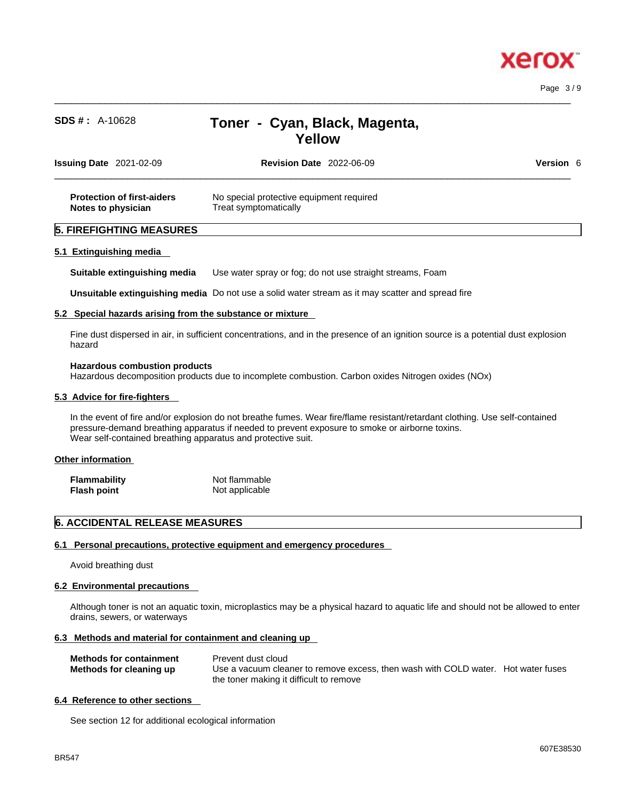

Page 3 / 9

# **SDS # :** A-10628 **Toner - Cyan, Black, Magenta, Yellow**

 $\_$  ,  $\_$  ,  $\_$  ,  $\_$  ,  $\_$  ,  $\_$  ,  $\_$  ,  $\_$  ,  $\_$  ,  $\_$  ,  $\_$  ,  $\_$  ,  $\_$  ,  $\_$  ,  $\_$  ,  $\_$  ,  $\_$  ,  $\_$  ,  $\_$  ,  $\_$  ,  $\_$  ,  $\_$  ,  $\_$  ,  $\_$  ,  $\_$  ,  $\_$  ,  $\_$  ,  $\_$  ,  $\_$  ,  $\_$  ,  $\_$  ,  $\_$  ,  $\_$  ,  $\_$  ,  $\_$  ,  $\_$  ,  $\_$  ,

| <b>Issuing Date 2021-02-09</b>                          | <b>Revision Date 2022-06-09</b>                                   | <b>Version 6</b> |
|---------------------------------------------------------|-------------------------------------------------------------------|------------------|
| <b>Protection of first-aiders</b><br>Notes to physician | No special protective equipment required<br>Treat symptomatically |                  |
| <b>5. FIREFIGHTING MEASURES</b>                         |                                                                   |                  |

#### **5.1 Extinguishing media**

**Suitable extinguishing media** Use water spray or fog; do not use straight streams, Foam

**Unsuitable extinguishing media** Do not use a solid water stream as it may scatterand spread fire

### **5.2 Special hazards arising from the substance or mixture**

Fine dust dispersed in air, in sufficient concentrations, and in the presence of an ignition source is a potential dust explosion hazard

#### **Hazardous combustion products**

Hazardous decomposition products due to incomplete combustion. Carbon oxides Nitrogen oxides (NOx)

#### **5.3 Advice for fire-fighters**

In the event of fire and/or explosion do not breathe fumes. Wear fire/flame resistant/retardant clothing. Use self-contained pressure-demand breathing apparatus if needed to prevent exposure to smoke or airborne toxins. Wear self-contained breathing apparatus and protective suit.

#### **Other information**

| <b>Flammability</b> | Not flammable  |
|---------------------|----------------|
| Flash point         | Not applicable |

# **6. ACCIDENTAL RELEASE MEASURES**

### **6.1 Personal precautions, protective equipment and emergency procedures**

Avoid breathing dust

#### **6.2 Environmental precautions**

Although toner is not an aquatic toxin, microplastics may be a physical hazard to aquatic life and should not be allowed to enter drains, sewers, or waterways

#### **6.3 Methods and material for containment and cleaning up**

| <b>Methods for containment</b> | Prevent dust cloud                                                                |
|--------------------------------|-----------------------------------------------------------------------------------|
| Methods for cleaning up        | Use a vacuum cleaner to remove excess, then wash with COLD water. Hot water fuses |
|                                | the toner making it difficult to remove                                           |

### **6.4 Reference to other sections**

See section 12 for additional ecological information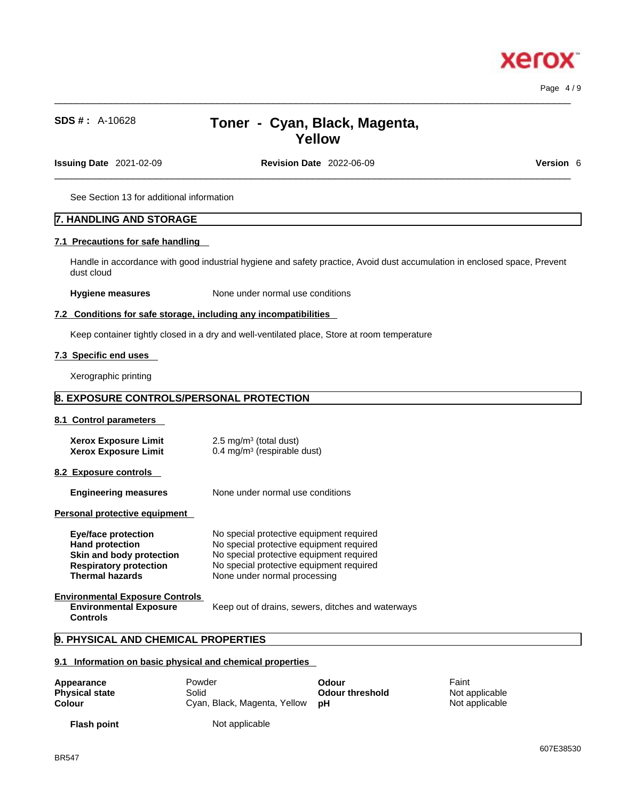xero

# **SDS # :** A-10628 **Toner - Cyan, Black, Magenta, Yellow**

**Issuing Date** 2021-02-09 **Revision Date** 2022-06-09 **Version** 6

 $\_$  ,  $\_$  ,  $\_$  ,  $\_$  ,  $\_$  ,  $\_$  ,  $\_$  ,  $\_$  ,  $\_$  ,  $\_$  ,  $\_$  ,  $\_$  ,  $\_$  ,  $\_$  ,  $\_$  ,  $\_$  ,  $\_$  ,  $\_$  ,  $\_$  ,  $\_$  ,  $\_$  ,  $\_$  ,  $\_$  ,  $\_$  ,  $\_$  ,  $\_$  ,  $\_$  ,  $\_$  ,  $\_$  ,  $\_$  ,  $\_$  ,  $\_$  ,  $\_$  ,  $\_$  ,  $\_$  ,  $\_$  ,  $\_$  ,

See Section 13 for additional information

# **7. HANDLING AND STORAGE**

### **7.1 Precautions for safe handling**

Handle in accordance with good industrial hygiene and safety practice, Avoid dust accumulation in enclosed space, Prevent dust cloud

**Hygiene measures** None under normal use conditions

#### **7.2 Conditions for safe storage, including any incompatibilities**

Keep container tightly closed in a dry and well-ventilated place, Store at room temperature

### **7.3 Specific end uses**

Xerographic printing

# **8. EXPOSURE CONTROLS/PERSONAL PROTECTION**

### **8.1 Control parameters**

| Xerox Exposure Limit | $2.5 \text{ mg/m}^3$ (total dust)      |
|----------------------|----------------------------------------|
| Xerox Exposure Limit | $0.4 \text{ mg/m}^3$ (respirable dust) |

**8.2 Exposure controls** 

**Engineering measures** None under normal use conditions

**Personal protective equipment** 

| <b>Eye/face protection</b>                                                                 | No special protective equipment required          |
|--------------------------------------------------------------------------------------------|---------------------------------------------------|
| <b>Hand protection</b>                                                                     | No special protective equipment required          |
| Skin and body protection                                                                   | No special protective equipment required          |
| <b>Respiratory protection</b>                                                              | No special protective equipment required          |
| <b>Thermal hazards</b>                                                                     | None under normal processing                      |
| <b>Environmental Exposure Controls</b><br><b>Environmental Exposure</b><br><b>Controls</b> | Keep out of drains, sewers, ditches and waterways |

# **9. PHYSICAL AND CHEMICAL PROPERTIES**

# **9.1 Information on basic physical and chemical properties**

| Appearance            | Powder                          | Odour                  | Faint          |  |
|-----------------------|---------------------------------|------------------------|----------------|--|
| <b>Physical state</b> | Solid                           | <b>Odour threshold</b> | Not applicable |  |
| Colour                | Cyan, Black, Magenta, Yellow pH |                        | Not applicable |  |
| <b>Flash point</b>    | Not applicable                  |                        |                |  |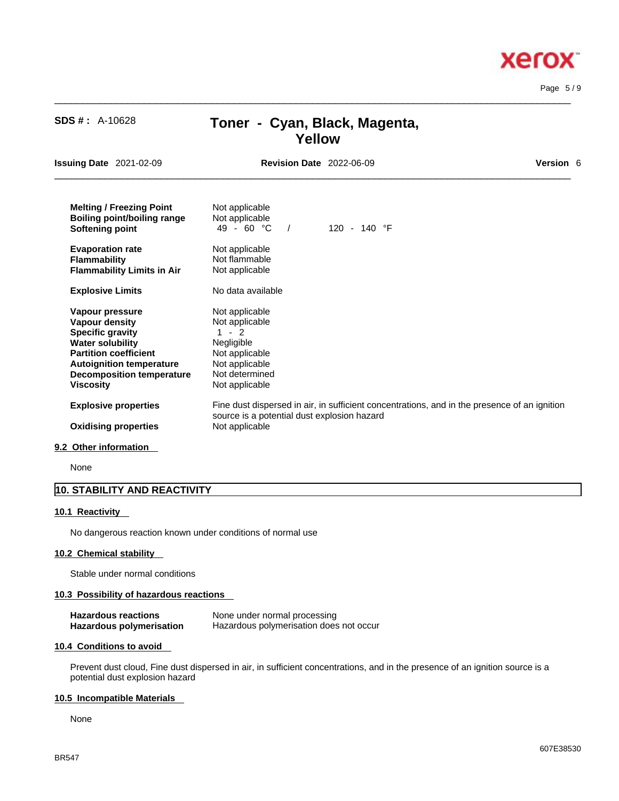$\_$  ,  $\_$  ,  $\_$  ,  $\_$  ,  $\_$  ,  $\_$  ,  $\_$  ,  $\_$  ,  $\_$  ,  $\_$  ,  $\_$  ,  $\_$  ,  $\_$  ,  $\_$  ,  $\_$  ,  $\_$  ,  $\_$  ,  $\_$  ,  $\_$  ,  $\_$  ,  $\_$  ,  $\_$  ,  $\_$  ,  $\_$  ,  $\_$  ,  $\_$  ,  $\_$  ,  $\_$  ,  $\_$  ,  $\_$  ,  $\_$  ,  $\_$  ,  $\_$  ,  $\_$  ,  $\_$  ,  $\_$  ,  $\_$  , Page 5 / 9

xero

# $\_$  ,  $\_$  ,  $\_$  ,  $\_$  ,  $\_$  ,  $\_$  ,  $\_$  ,  $\_$  ,  $\_$  ,  $\_$  ,  $\_$  ,  $\_$  ,  $\_$  ,  $\_$  ,  $\_$  ,  $\_$  ,  $\_$  ,  $\_$  ,  $\_$  ,  $\_$  ,  $\_$  ,  $\_$  ,  $\_$  ,  $\_$  ,  $\_$  ,  $\_$  ,  $\_$  ,  $\_$  ,  $\_$  ,  $\_$  ,  $\_$  ,  $\_$  ,  $\_$  ,  $\_$  ,  $\_$  ,  $\_$  ,  $\_$  , **Yellow Issuing Date** 2021-02-09 **Revision Date** 2022-06-09 **Version** 6 **Melting / Freezing Point** Not applicable **Boiling point/boiling range** Not applicable<br> **Softening point**  $49 - 60 °C$  / **Softening point 49 - 60 °C** / 120 - 140 °F **Evaporation rate Reserve Show Not applicable**<br> **Flammability Not flammable Flammability Flammability Limits in Air** Not applicable **Explosive Limits** No data available **Vapour pressure**<br> **Vapour density**<br> **Vapour density**<br> **Presenting the Separate Presenting Mot applicable Vapour density**<br> **Specific gravity** 1 - 2 **Specific gravity Water solubility** Negligible **Partition coefficient** Not applicable **Autoignition temperature** Not applicable<br>**Decomposition temperature** Not determined **Decomposition temperature Viscosity Not applicable Explosive properties** Fine dust dispersed in air, in sufficient concentrations, and in the presence of an ignition source is a potential dust explosion hazard **Oxidising properties** Not applicable

**SDS # :** A-10628 **Toner - Cyan, Black, Magenta,** 

## **9.2 Other information**

None

# **10. STABILITY AND REACTIVITY**

## **10.1 Reactivity**

No dangerous reaction known under conditions of normal use

## **10.2 Chemical stability**

Stable under normal conditions

## **10.3 Possibility of hazardous reactions**

| <b>Hazardous reactions</b> | None under normal processing            |
|----------------------------|-----------------------------------------|
| Hazardous polymerisation   | Hazardous polymerisation does not occur |

## **10.4 Conditions to avoid**

Prevent dust cloud, Fine dust dispersed in air, in sufficient concentrations, and in the presence of an ignition source is a potential dust explosion hazard

#### **10.5 Incompatible Materials**

None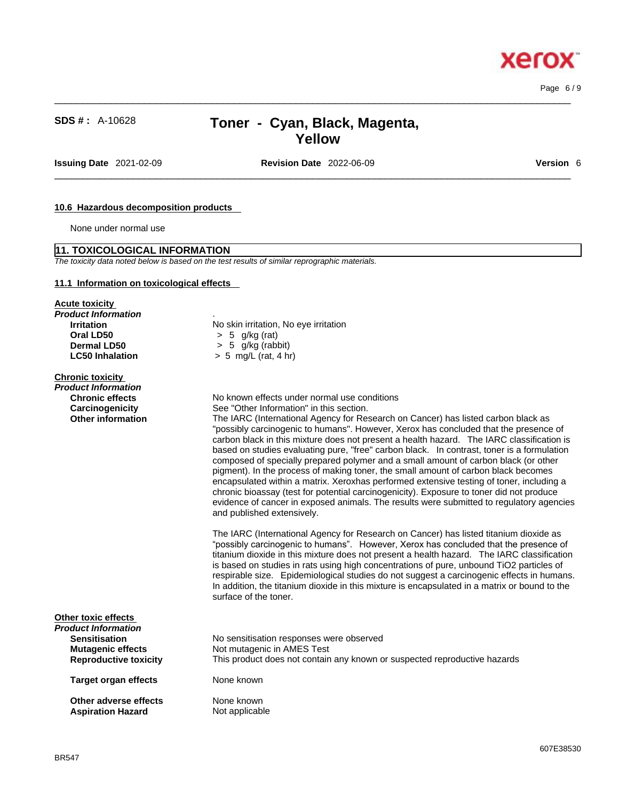Page 6 / 9

ĸ

xero

# **SDS # :** A-10628 **Toner - Cyan, Black, Magenta, Yellow**

 $\_$  ,  $\_$  ,  $\_$  ,  $\_$  ,  $\_$  ,  $\_$  ,  $\_$  ,  $\_$  ,  $\_$  ,  $\_$  ,  $\_$  ,  $\_$  ,  $\_$  ,  $\_$  ,  $\_$  ,  $\_$  ,  $\_$  ,  $\_$  ,  $\_$  ,  $\_$  ,  $\_$  ,  $\_$  ,  $\_$  ,  $\_$  ,  $\_$  ,  $\_$  ,  $\_$  ,  $\_$  ,  $\_$  ,  $\_$  ,  $\_$  ,  $\_$  ,  $\_$  ,  $\_$  ,  $\_$  ,  $\_$  ,  $\_$  ,

**Issuing Date** 2021-02-09 **Revision Date** 2022-06-09 **Version** 6

 $\_$  ,  $\_$  ,  $\_$  ,  $\_$  ,  $\_$  ,  $\_$  ,  $\_$  ,  $\_$  ,  $\_$  ,  $\_$  ,  $\_$  ,  $\_$  ,  $\_$  ,  $\_$  ,  $\_$  ,  $\_$  ,  $\_$  ,  $\_$  ,  $\_$  ,  $\_$  ,  $\_$  ,  $\_$  ,  $\_$  ,  $\_$  ,  $\_$  ,  $\_$  ,  $\_$  ,  $\_$  ,  $\_$  ,  $\_$  ,  $\_$  ,  $\_$  ,  $\_$  ,  $\_$  ,  $\_$  ,  $\_$  ,  $\_$  ,

# **10.6 Hazardous decomposition products**

None under normal use

#### **11. TOXICOLOGICAL INFORMATION**

*The toxicity data noted below is based on the test results of similar reprographic materials.* 

# **11.1 Information on toxicological effects**

**Acute toxicity** *Product Information* .

| <b>Chronic toxicity</b>      |                                                                                                                                                                                                                                                                                                                                                                                                                                                                                                                                                                                                                                                                                                                                                                                                                                                                     |
|------------------------------|---------------------------------------------------------------------------------------------------------------------------------------------------------------------------------------------------------------------------------------------------------------------------------------------------------------------------------------------------------------------------------------------------------------------------------------------------------------------------------------------------------------------------------------------------------------------------------------------------------------------------------------------------------------------------------------------------------------------------------------------------------------------------------------------------------------------------------------------------------------------|
| Product Information          |                                                                                                                                                                                                                                                                                                                                                                                                                                                                                                                                                                                                                                                                                                                                                                                                                                                                     |
| <b>Chronic effects</b>       | No known effects under normal use conditions                                                                                                                                                                                                                                                                                                                                                                                                                                                                                                                                                                                                                                                                                                                                                                                                                        |
| Carcinogenicity              | See "Other Information" in this section.                                                                                                                                                                                                                                                                                                                                                                                                                                                                                                                                                                                                                                                                                                                                                                                                                            |
| <b>Other information</b>     | The IARC (International Agency for Research on Cancer) has listed carbon black as<br>"possibly carcinogenic to humans". However, Xerox has concluded that the presence of<br>carbon black in this mixture does not present a health hazard. The IARC classification is<br>based on studies evaluating pure, "free" carbon black. In contrast, toner is a formulation<br>composed of specially prepared polymer and a small amount of carbon black (or other<br>pigment). In the process of making toner, the small amount of carbon black becomes<br>encapsulated within a matrix. Xeroxhas performed extensive testing of toner, including a<br>chronic bioassay (test for potential carcinogenicity). Exposure to toner did not produce<br>evidence of cancer in exposed animals. The results were submitted to regulatory agencies<br>and published extensively. |
|                              | The IARC (International Agency for Research on Cancer) has listed titanium dioxide as<br>"possibly carcinogenic to humans". However, Xerox has concluded that the presence of<br>titanium dioxide in this mixture does not present a health hazard. The IARC classification<br>is based on studies in rats using high concentrations of pure, unbound TiO2 particles of<br>respirable size. Epidemiological studies do not suggest a carcinogenic effects in humans.<br>In addition, the titanium dioxide in this mixture is encapsulated in a matrix or bound to the<br>surface of the toner.                                                                                                                                                                                                                                                                      |
| Other toxic effects          |                                                                                                                                                                                                                                                                                                                                                                                                                                                                                                                                                                                                                                                                                                                                                                                                                                                                     |
| Product Information          |                                                                                                                                                                                                                                                                                                                                                                                                                                                                                                                                                                                                                                                                                                                                                                                                                                                                     |
| <b>Sensitisation</b>         | No sensitisation responses were observed                                                                                                                                                                                                                                                                                                                                                                                                                                                                                                                                                                                                                                                                                                                                                                                                                            |
| <b>Mutagenic effects</b>     | Not mutagenic in AMES Test                                                                                                                                                                                                                                                                                                                                                                                                                                                                                                                                                                                                                                                                                                                                                                                                                                          |
| <b>Reproductive toxicity</b> | This product does not contain any known or suspected reproductive hazards                                                                                                                                                                                                                                                                                                                                                                                                                                                                                                                                                                                                                                                                                                                                                                                           |
| <b>Target organ effects</b>  | None known                                                                                                                                                                                                                                                                                                                                                                                                                                                                                                                                                                                                                                                                                                                                                                                                                                                          |
| Other adverse effects        | None known                                                                                                                                                                                                                                                                                                                                                                                                                                                                                                                                                                                                                                                                                                                                                                                                                                                          |
| <b>Aspiration Hazard</b>     | Not applicable                                                                                                                                                                                                                                                                                                                                                                                                                                                                                                                                                                                                                                                                                                                                                                                                                                                      |

**Irritation**<br> **Oral LD50**<br>  $>$  5 a/kg (rat)<br>  $>$  5 a/kg (rat) **Oral LD50** > 5 g/kg (rat) **Dermal LD50** > 5 g/kg (rabbit) **LC50 Inhalation** > 5 mg/L (rat, 4 hr)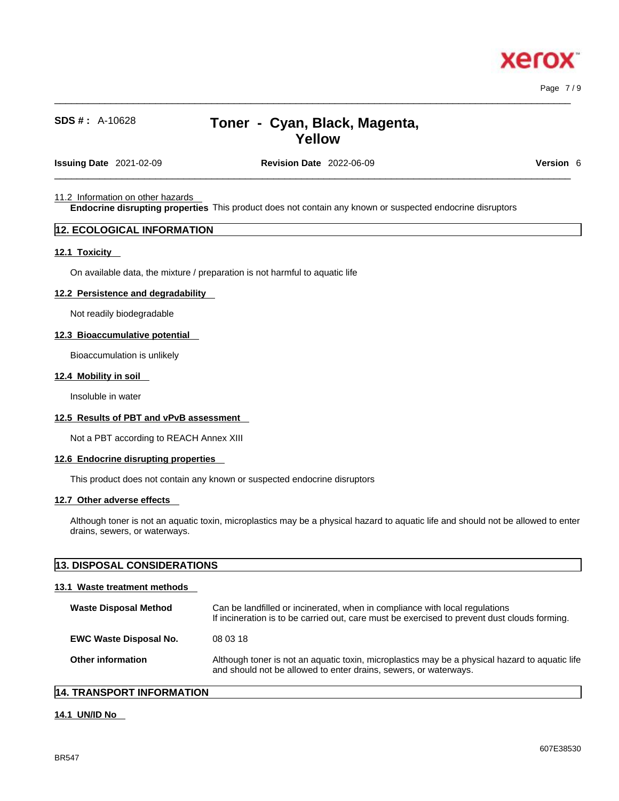Page 7 / 9

# **SDS # :** A-10628 **Toner - Cyan, Black, Magenta, Yellow**

 $\_$  ,  $\_$  ,  $\_$  ,  $\_$  ,  $\_$  ,  $\_$  ,  $\_$  ,  $\_$  ,  $\_$  ,  $\_$  ,  $\_$  ,  $\_$  ,  $\_$  ,  $\_$  ,  $\_$  ,  $\_$  ,  $\_$  ,  $\_$  ,  $\_$  ,  $\_$  ,  $\_$  ,  $\_$  ,  $\_$  ,  $\_$  ,  $\_$  ,  $\_$  ,  $\_$  ,  $\_$  ,  $\_$  ,  $\_$  ,  $\_$  ,  $\_$  ,  $\_$  ,  $\_$  ,  $\_$  ,  $\_$  ,  $\_$  ,

**Issuing Date** 2021-02-09 **Revision Date** 2022-06-09 **Version** 6

 $\_$  ,  $\_$  ,  $\_$  ,  $\_$  ,  $\_$  ,  $\_$  ,  $\_$  ,  $\_$  ,  $\_$  ,  $\_$  ,  $\_$  ,  $\_$  ,  $\_$  ,  $\_$  ,  $\_$  ,  $\_$  ,  $\_$  ,  $\_$  ,  $\_$  ,  $\_$  ,  $\_$  ,  $\_$  ,  $\_$  ,  $\_$  ,  $\_$  ,  $\_$  ,  $\_$  ,  $\_$  ,  $\_$  ,  $\_$  ,  $\_$  ,  $\_$  ,  $\_$  ,  $\_$  ,  $\_$  ,  $\_$  ,  $\_$  ,

### 11.2 Information on other hazards

**Endocrine disrupting properties** This product does not contain any known or suspected endocrine disruptors

# **12. ECOLOGICAL INFORMATION**

### **12.1 Toxicity**

On available data, the mixture / preparation is not harmful to aquatic life

### **12.2 Persistence and degradability**

Not readily biodegradable

### **12.3 Bioaccumulative potential**

Bioaccumulation is unlikely

### **12.4 Mobility in soil**

Insoluble in water

# **12.5 Results of PBT and vPvB assessment**

Not a PBT according to REACH Annex XIII

#### **12.6 Endocrine disrupting properties**

This product does not contain any known or suspected endocrine disruptors

# **12.7 Other adverse effects**

Although toner is not an aquatic toxin, microplastics may be a physical hazard to aquatic life and should not be allowed to enter drains, sewers, or waterways.

# **13. DISPOSAL CONSIDERATIONS**

# **13.1 Waste treatment methods**

| <b>Waste Disposal Method</b>  | Can be landfilled or incinerated, when in compliance with local regulations<br>If incineration is to be carried out, care must be exercised to prevent dust clouds forming. |
|-------------------------------|-----------------------------------------------------------------------------------------------------------------------------------------------------------------------------|
| <b>EWC Waste Disposal No.</b> | 08 03 18                                                                                                                                                                    |
| <b>Other information</b>      | Although toner is not an aquatic toxin, microplastics may be a physical hazard to aquatic life<br>and should not be allowed to enter drains, sewers, or waterways.          |

# **14. TRANSPORT INFORMATION**

### **14.1 UN/ID No**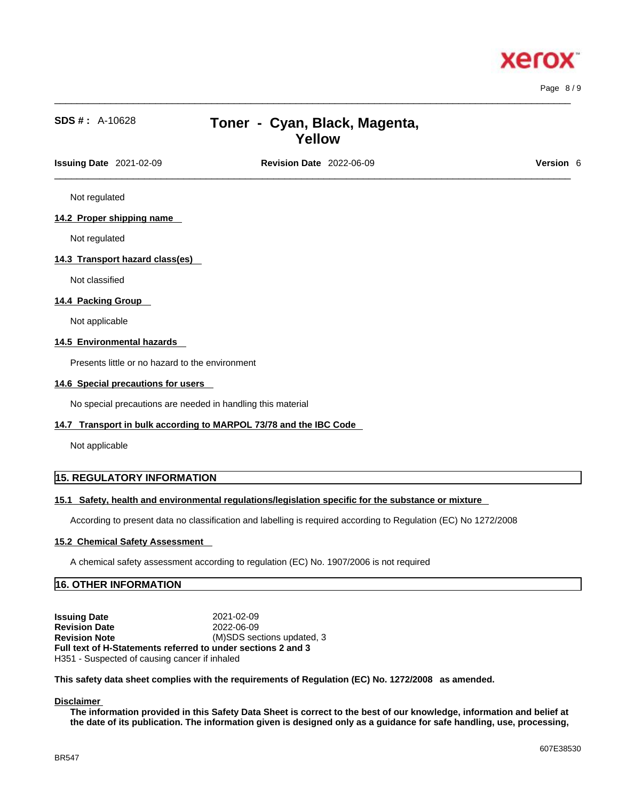

Page 8 / 9

# **SDS # :** A-10628 **Toner - Cyan, Black, Magenta, Yellow**

 $\_$  ,  $\_$  ,  $\_$  ,  $\_$  ,  $\_$  ,  $\_$  ,  $\_$  ,  $\_$  ,  $\_$  ,  $\_$  ,  $\_$  ,  $\_$  ,  $\_$  ,  $\_$  ,  $\_$  ,  $\_$  ,  $\_$  ,  $\_$  ,  $\_$  ,  $\_$  ,  $\_$  ,  $\_$  ,  $\_$  ,  $\_$  ,  $\_$  ,  $\_$  ,  $\_$  ,  $\_$  ,  $\_$  ,  $\_$  ,  $\_$  ,  $\_$  ,  $\_$  ,  $\_$  ,  $\_$  ,  $\_$  ,  $\_$  ,

 $\_$  ,  $\_$  ,  $\_$  ,  $\_$  ,  $\_$  ,  $\_$  ,  $\_$  ,  $\_$  ,  $\_$  ,  $\_$  ,  $\_$  ,  $\_$  ,  $\_$  ,  $\_$  ,  $\_$  ,  $\_$  ,  $\_$  ,  $\_$  ,  $\_$  ,  $\_$  ,  $\_$  ,  $\_$  ,  $\_$  ,  $\_$  ,  $\_$  ,  $\_$  ,  $\_$  ,  $\_$  ,  $\_$  ,  $\_$  ,  $\_$  ,  $\_$  ,  $\_$  ,  $\_$  ,  $\_$  ,  $\_$  ,  $\_$  , **Issuing Date** 2021-02-09 **Revision Date** 2022-06-09 **Version** 6

Not regulated

#### **14.2 Proper shipping name**

Not regulated

### **14.3 Transport hazard class(es)**

Not classified

### **14.4 Packing Group**

Not applicable

### **14.5 Environmental hazards**

Presents little or no hazard to the environment

#### **14.6 Special precautions for users**

No special precautions are needed in handling this material

#### **14.7 Transport in bulk according to MARPOL 73/78 and the IBC Code**

Not applicable

# **15. REGULATORY INFORMATION**

### **15.1 Safety, health and environmental regulations/legislation specific for the substance or mixture**

According to present data no classification and labelling is required according to Regulation (EC) No 1272/2008

#### **15.2 Chemical Safety Assessment**

A chemical safety assessment according to regulation (EC) No. 1907/2006 isnot required

# **16. OTHER INFORMATION**

**Issuing Date** 2021-02-09 **Revision Date** 2022-06-09 **Revision Note** (M)SDS sections updated, 3 **Full text of H-Statements referred to undersections 2 and 3** H351 - Suspected of causing cancer if inhaled

**This safety data sheet complies with the requirements of Regulation (EC) No. 1272/2008 as amended.**

#### **Disclaimer**

The information provided in this Safety Data Sheet is correct to the best of our knowledge, information and belief at the date of its publication. The information given is designed only as a guidance for safe handling, use, processing,